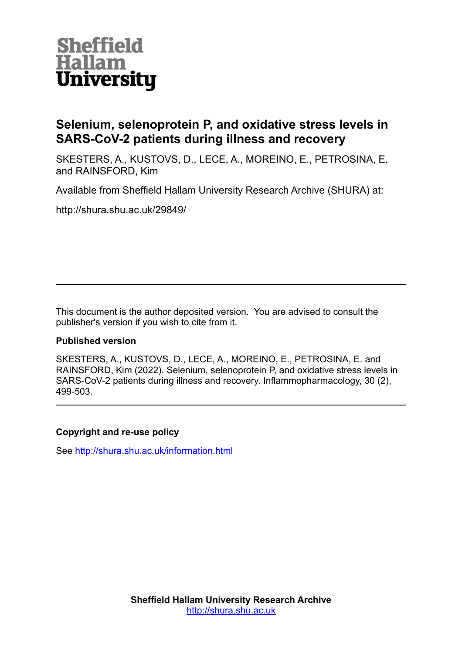

# **Selenium, selenoprotein P, and oxidative stress levels in SARS-CoV-2 patients during illness and recovery**

SKESTERS, A., KUSTOVS, D., LECE, A., MOREINO, E., PETROSINA, E. and RAINSFORD, Kim

Available from Sheffield Hallam University Research Archive (SHURA) at:

http://shura.shu.ac.uk/29849/

This document is the author deposited version. You are advised to consult the publisher's version if you wish to cite from it.

# **Published version**

SKESTERS, A., KUSTOVS, D., LECE, A., MOREINO, E., PETROSINA, E. and RAINSFORD, Kim (2022). Selenium, selenoprotein P, and oxidative stress levels in SARS-CoV-2 patients during illness and recovery. Inflammopharmacology, 30 (2), 499-503.

# **Copyright and re-use policy**

See<http://shura.shu.ac.uk/information.html>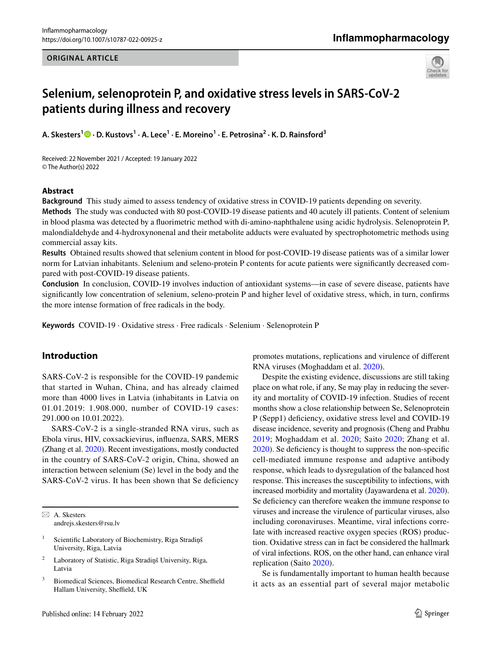#### **ORIGINAL ARTICLE**

# Inflammopharmacology



# **Selenium, selenoprotein P, and oxidative stress levels in SARS‑CoV‑2 patients during illness and recovery**

**A. Skesters1 · D. Kustovs<sup>1</sup> · A. Lece<sup>1</sup> · E. Moreino1 · E. Petrosina<sup>2</sup> · K. D. Rainsford<sup>3</sup>**

Received: 22 November 2021 / Accepted: 19 January 2022 © The Author(s) 2022

#### **Abstract**

**Background** This study aimed to assess tendency of oxidative stress in COVID-19 patients depending on severity.

**Methods** The study was conducted with 80 post-COVID-19 disease patients and 40 acutely ill patients. Content of selenium in blood plasma was detected by a fuorimetric method with di-amino-naphthalene using acidic hydrolysis. Selenoprotein P, malondialdehyde and 4-hydroxynonenal and their metabolite adducts were evaluated by spectrophotometric methods using commercial assay kits.

**Results** Obtained results showed that selenium content in blood for post-COVID-19 disease patients was of a similar lower norm for Latvian inhabitants. Selenium and seleno-protein P contents for acute patients were signifcantly decreased compared with post-COVID-19 disease patients.

**Conclusion** In conclusion, COVID-19 involves induction of antioxidant systems—in case of severe disease, patients have signifcantly low concentration of selenium, seleno-protein P and higher level of oxidative stress, which, in turn, confrms the more intense formation of free radicals in the body.

**Keywords** COVID-19 · Oxidative stress · Free radicals · Selenium · Selenoprotein P

## **Introduction**

SARS-CoV-2 is responsible for the COVID-19 pandemic that started in Wuhan, China, and has already claimed more than 4000 lives in Latvia (inhabitants in Latvia on 01.01.2019: 1.908.000, number of COVID-19 cases: 291.000 on 10.01.2022).

SARS-CoV-2 is a single-stranded RNA virus, such as Ebola virus, HIV, coxsackievirus, infuenza, SARS, MERS (Zhang et al. [2020\)](#page-5-0). Recent investigations, mostly conducted in the country of SARS-CoV-2 origin, China, showed an interaction between selenium (Se) level in the body and the SARS-CoV-2 virus. It has been shown that Se deficiency

 $\boxtimes$  A. Skesters andrejs.skesters@rsu.lv

- <sup>1</sup> Scientific Laboratory of Biochemistry, Riga Stradiņš University, Riga, Latvia
- <sup>2</sup> Laboratory of Statistic, Riga Stradiņš University, Riga, Latvia
- <sup>3</sup> Biomedical Sciences, Biomedical Research Centre, Sheffield Hallam University, Sheffield, UK

promotes mutations, replications and virulence of diferent RNA viruses (Moghaddam et al. [2020\)](#page-5-1).

Despite the existing evidence, discussions are still taking place on what role, if any, Se may play in reducing the severity and mortality of COVID-19 infection. Studies of recent months show a close relationship between Se, Selenoprotein P (Sepp1) deficiency, oxidative stress level and COVID-19 disease incidence, severity and prognosis (Cheng and Prabhu [2019;](#page-4-0) Moghaddam et al. [2020;](#page-5-1) Saito [2020;](#page-5-2) Zhang et al. [2020](#page-5-0)). Se defciency is thought to suppress the non-specifc cell-mediated immune response and adaptive antibody response, which leads to dysregulation of the balanced host response. This increases the susceptibility to infections, with increased morbidity and mortality (Jayawardena et al. [2020](#page-4-1)). Se deficiency can therefore weaken the immune response to viruses and increase the virulence of particular viruses, also including coronaviruses. Meantime, viral infections correlate with increased reactive oxygen species (ROS) production. Oxidative stress can in fact be considered the hallmark of viral infections. ROS, on the other hand, can enhance viral replication (Saito [2020\)](#page-5-2).

Se is fundamentally important to human health because it acts as an essential part of several major metabolic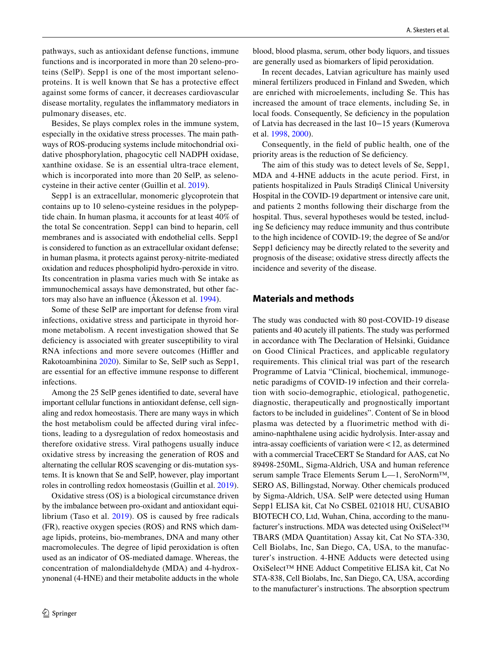pathways, such as antioxidant defense functions, immune functions and is incorporated in more than 20 seleno-proteins (SelP). Sepp1 is one of the most important selenoproteins. It is well known that Se has a protective efect against some forms of cancer, it decreases cardiovascular disease mortality, regulates the infammatory mediators in pulmonary diseases, etc.

Besides, Se plays complex roles in the immune system, especially in the oxidative stress processes. The main pathways of ROS-producing systems include mitochondrial oxidative phosphorylation, phagocytic cell NADPH oxidase, xanthine oxidase. Se is an essential ultra-trace element, which is incorporated into more than 20 SelP, as selenocysteine in their active center (Guillin et al. [2019\)](#page-4-2).

Sepp1 is an extracellular, monomeric glycoprotein that contains up to 10 seleno-cysteine residues in the polypeptide chain. In human plasma, it accounts for at least 40% of the total Se concentration. Sepp1 can bind to heparin, cell membranes and is associated with endothelial cells. Sepp1 is considered to function as an extracellular oxidant defense; in human plasma, it protects against peroxy-nitrite-mediated oxidation and reduces phospholipid hydro-peroxide in vitro. Its concentration in plasma varies much with Se intake as immunochemical assays have demonstrated, but other factors may also have an infuence (Åkesson et al. [1994\)](#page-4-3).

Some of these SelP are important for defense from viral infections, oxidative stress and participate in thyroid hormone metabolism. A recent investigation showed that Se deficiency is associated with greater susceptibility to viral RNA infections and more severe outcomes (Hiffler and Rakotoambinina [2020](#page-4-4)). Similar to Se, SelP such as Sepp1, are essential for an efective immune response to diferent infections.

Among the 25 SelP genes identifed to date, several have important cellular functions in antioxidant defense, cell signaling and redox homeostasis. There are many ways in which the host metabolism could be afected during viral infections, leading to a dysregulation of redox homeostasis and therefore oxidative stress. Viral pathogens usually induce oxidative stress by increasing the generation of ROS and alternating the cellular ROS scavenging or dis-mutation systems. It is known that Se and SelP, however, play important roles in controlling redox homeostasis (Guillin et al. [2019](#page-4-2)).

Oxidative stress (OS) is a biological circumstance driven by the imbalance between pro-oxidant and antioxidant equilibrium (Taso et al. [2019\)](#page-5-3). OS is caused by free radicals (FR), reactive oxygen species (ROS) and RNS which damage lipids, proteins, bio-membranes, DNA and many other macromolecules. The degree of lipid peroxidation is often used as an indicator of OS-mediated damage. Whereas, the concentration of malondialdehyde (MDA) and 4-hydroxynonenal (4-HNE) and their metabolite adducts in the whole blood, blood plasma, serum, other body liquors, and tissues are generally used as biomarkers of lipid peroxidation.

In recent decades, Latvian agriculture has mainly used mineral fertilizers produced in Finland and Sweden, which are enriched with microelements, including Se. This has increased the amount of trace elements, including Se, in local foods. Consequently, Se deficiency in the population of Latvia has decreased in the last 10−15 years (Kumerova et al. [1998](#page-4-5), [2000](#page-4-5)).

Consequently, in the feld of public health, one of the priority areas is the reduction of Se defciency.

The aim of this study was to detect levels of Se, Sepp1, MDA and 4-HNE adducts in the acute period. First, in patients hospitalized in Pauls Stradiņš Clinical University Hospital in the COVID-19 department or intensive care unit, and patients 2 months following their discharge from the hospital. Thus, several hypotheses would be tested, including Se defciency may reduce immunity and thus contribute to the high incidence of COVID-19; the degree of Se and/or Sepp1 deficiency may be directly related to the severity and prognosis of the disease; oxidative stress directly afects the incidence and severity of the disease.

## **Materials and methods**

The study was conducted with 80 post-COVID-19 disease patients and 40 acutely ill patients. The study was performed in accordance with The Declaration of Helsinki, Guidance on Good Clinical Practices, and applicable regulatory requirements. This clinical trial was part of the research Programme of Latvia "Clinical, biochemical, immunogenetic paradigms of COVID-19 infection and their correlation with socio-demographic, etiological, pathogenetic, diagnostic, therapeutically and prognostically important factors to be included in guidelines". Content of Se in blood plasma was detected by a fluorimetric method with diamino-naphthalene using acidic hydrolysis. Inter-assay and  $intra-assay coefficients of variation were < 12$ , as determined with a commercial TraceCERT Se Standard for AAS, cat No 89498-250ML, Sigma-Aldrich, USA and human reference serum sample Trace Elements Serum L—1, SeroNorm™, SERO AS, Billingstad, Norway. Other chemicals produced by Sigma-Aldrich, USA. SelP were detected using Human Sepp1 ELISA kit, Cat No CSBEL 021018 HU, CUSABIO BIOTECH CO, Ltd, Wuhan, China, according to the manufacturer's instructions. MDA was detected using OxiSelect™ TBARS (MDA Quantitation) Assay kit, Cat No STA-330, Cell Biolabs, Inc, San Diego, CA, USA, to the manufacturer's instruction. 4-HNE Adducts were detected using OxiSelect™ HNE Adduct Competitive ELISA kit, Cat No STA-838, Cell Biolabs, Inc, San Diego, CA, USA, according to the manufacturer's instructions. The absorption spectrum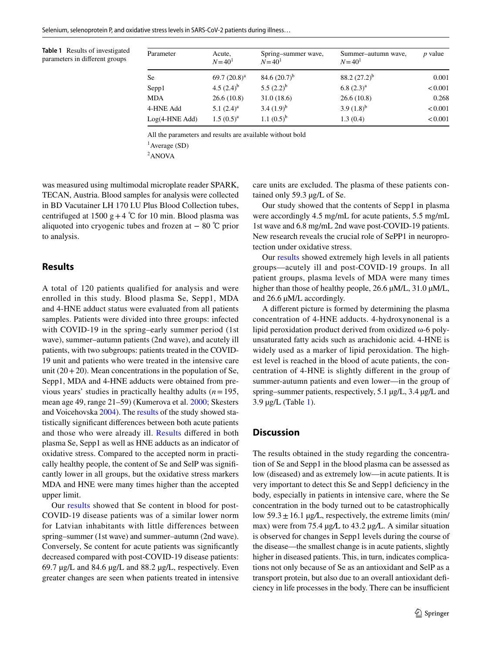<span id="page-3-1"></span>**Table 1** Results of investigated parameters in diferent groups

| Parameter        | Acute,<br>$N = 40^1$ | Spring-summer wave,<br>$N = 401$ | Summer-autumn wave,<br>$N = 40^1$ | $p$ value |
|------------------|----------------------|----------------------------------|-----------------------------------|-----------|
| <b>Se</b>        | 69.7 $(20.8)^a$      | 84.6 $(20.7)^{b}$                | 88.2 $(27.2)^{b}$                 | 0.001     |
| Sepp1            | 4.5 $(2.4)^{b}$      | 5.5 $(2.2)^{b}$                  | $6.8(2.3)^{a}$                    | < 0.001   |
| <b>MDA</b>       | 26.6(10.8)           | 31.0(18.6)                       | 26.6(10.8)                        | 0.268     |
| 4-HNE Add        | 5.1 $(2.4)^a$        | 3.4 $(1.9)^b$                    | 3.9 $(1.8)^{b}$                   | < 0.001   |
| $Log(4-HNE Add)$ | $1.5(0.5)^{a}$       | 1.1 $(0.5)^{b}$                  | 1.3(0.4)                          | < 0.001   |

All the parameters and results are available without bold

1 Average (SD)

<sup>2</sup>ANOVA

was measured using multimodal microplate reader SPARK, TECAN, Austria. Blood samples for analysis were collected in BD Vacutainer LH 170 I.U Plus Blood Collection tubes, centrifuged at 1500 g + 4 °C for 10 min. Blood plasma was aliquoted into cryogenic tubes and frozen at  $-80$  °C prior to analysis.

## <span id="page-3-0"></span>**Results**

A total of 120 patients qualified for analysis and were enrolled in this study. Blood plasma Se, Sepp1, MDA and 4-HNE adduct status were evaluated from all patients samples. Patients were divided into three groups: infected with COVID-19 in the spring–early summer period (1st wave), summer–autumn patients (2nd wave), and acutely ill patients, with two subgroups: patients treated in the COVID-19 unit and patients who were treated in the intensive care unit  $(20+20)$ . Mean concentrations in the population of Se, Sepp1, MDA and 4-HNE adducts were obtained from previous years' studies in practically healthy adults (*n*=195, mean age 49, range 21–59) (Kumerova et al. [2000;](#page-4-5) Skesters and Voicehovska [2004](#page-5-4)). The [results](#page-3-0) of the study showed statistically signifcant diferences between both acute patients and those who were already ill. [Results](#page-3-0) difered in both plasma Se, Sepp1 as well as HNE adducts as an indicator of oxidative stress. Compared to the accepted norm in practically healthy people, the content of Se and SelP was signifcantly lower in all groups, but the oxidative stress markers MDA and HNE were many times higher than the accepted upper limit.

Our [results](#page-3-0) showed that Se content in blood for post-COVID-19 disease patients was of a similar lower norm for Latvian inhabitants with little differences between spring–summer (1st wave) and summer–autumn (2nd wave). Conversely, Se content for acute patients was signifcantly decreased compared with post-COVID-19 disease patients: 69.7 µg/L and 84.6 µg/L and 88.2 µg/L, respectively. Even greater changes are seen when patients treated in intensive

care units are excluded. The plasma of these patients contained only 59.3 µg/L of Se.

Our study showed that the contents of Sepp1 in plasma were accordingly 4.5 mg/mL for acute patients, 5.5 mg/mL 1st wave and 6.8 mg/mL 2nd wave post-COVID-19 patients. New research reveals the crucial role of SePP1 in neuroprotection under oxidative stress.

Our [results](#page-3-0) showed extremely high levels in all patients groups—acutely ill and post-COVID-19 groups. In all patient groups, plasma levels of MDA were many times higher than those of healthy people, 26.6  $\mu$ M/L, 31.0  $\mu$ M/L, and 26.6 µM/L accordingly.

A diferent picture is formed by determining the plasma concentration of 4-HNE adducts. 4-hydroxynonenal is a lipid peroxidation product derived from oxidized ω-6 polyunsaturated fatty acids such as arachidonic acid. 4-HNE is widely used as a marker of lipid peroxidation. The highest level is reached in the blood of acute patients, the concentration of 4-HNE is slightly diferent in the group of summer-autumn patients and even lower—in the group of spring–summer patients, respectively, 5.1 µg/L, 3.4 µg/L and 3.9 µg/L (Table [1](#page-3-1)).

### **Discussion**

The results obtained in the study regarding the concentration of Se and Sepp1 in the blood plasma can be assessed as low (diseased) and as extremely low—in acute patients. It is very important to detect this Se and Sepp1 defciency in the body, especially in patients in intensive care, where the Se concentration in the body turned out to be catastrophically low  $59.3 \pm 16.1$   $\mu$ g/L, respectively, the extreme limits (min/ max) were from 75.4 µg*/*L to 43.2 µg*/*L. A similar situation is observed for changes in Sepp1 levels during the course of the disease—the smallest change is in acute patients, slightly higher in diseased patients. This, in turn, indicates complications not only because of Se as an antioxidant and SelP as a transport protein, but also due to an overall antioxidant defciency in life processes in the body. There can be insufficient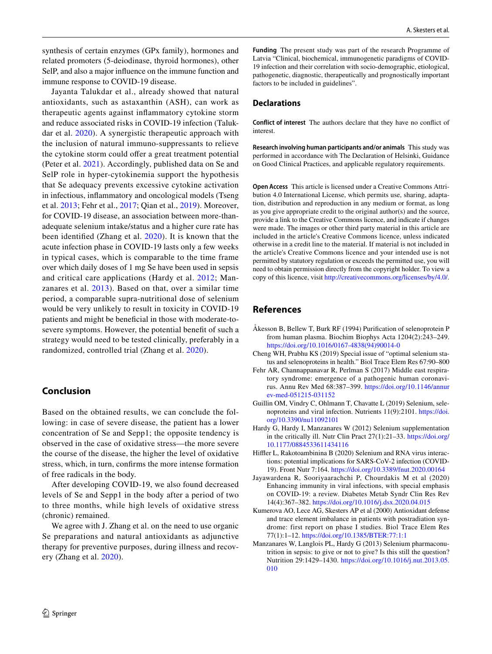synthesis of certain enzymes (GPx family), hormones and related promoters (5-deiodinase, thyroid hormones), other SelP, and also a major infuence on the immune function and immune response to COVID-19 disease.

Jayanta Talukdar et al., already showed that natural antioxidants, such as astaxanthin (ASH), can work as therapeutic agents against infammatory cytokine storm and reduce associated risks in COVID-19 infection (Talukdar et al. [2020](#page-5-5)). A synergistic therapeutic approach with the inclusion of natural immuno-suppressants to relieve the cytokine storm could offer a great treatment potential (Peter et al. [2021](#page-5-6)). Accordingly, published data on Se and SelP role in hyper-cytokinemia support the hypothesis that Se adequacy prevents excessive cytokine activation in infectious, infammatory and oncological models (Tseng et al. [2013;](#page-5-7) Fehr et al., [2017;](#page-4-6) Qian et al., [2019](#page-5-8)). Moreover, for COVID-19 disease, an association between more-thanadequate selenium intake/status and a higher cure rate has been identifed (Zhang et al. [2020](#page-5-0)). It is known that the acute infection phase in COVID-19 lasts only a few weeks in typical cases, which is comparable to the time frame over which daily doses of 1 mg Se have been used in sepsis and critical care applications (Hardy et al. [2012](#page-4-7); Manzanares et al. [2013](#page-4-8)). Based on that, over a similar time period, a comparable supra-nutritional dose of selenium would be very unlikely to result in toxicity in COVID-19 patients and might be benefcial in those with moderate-tosevere symptoms. However, the potential beneft of such a strategy would need to be tested clinically, preferably in a randomized, controlled trial (Zhang et al. [2020](#page-5-0)).

## **Conclusion**

Based on the obtained results, we can conclude the following: in case of severe disease, the patient has a lower concentration of Se and Sepp1; the opposite tendency is observed in the case of oxidative stress—the more severe the course of the disease, the higher the level of oxidative stress, which, in turn, confrms the more intense formation of free radicals in the body.

After developing COVID-19, we also found decreased levels of Se and Sepp1 in the body after a period of two to three months, while high levels of oxidative stress (chronic) remained.

We agree with J. Zhang et al. on the need to use organic Se preparations and natural antioxidants as adjunctive therapy for preventive purposes, during illness and recovery (Zhang et al. [2020](#page-5-0)).

**Funding** The present study was part of the research Programme of Latvia "Clinical, biochemical, immunogenetic paradigms of COVID-19 infection and their correlation with socio-demographic, etiological, pathogenetic, diagnostic, therapeutically and prognostically important factors to be included in guidelines".

#### **Declarations**

**Conflict of interest** The authors declare that they have no confict of interest.

**Research involving human participants and/or animals** This study was performed in accordance with The Declaration of Helsinki, Guidance on Good Clinical Practices, and applicable regulatory requirements.

**Open Access** This article is licensed under a Creative Commons Attribution 4.0 International License, which permits use, sharing, adaptation, distribution and reproduction in any medium or format, as long as you give appropriate credit to the original author(s) and the source, provide a link to the Creative Commons licence, and indicate if changes were made. The images or other third party material in this article are included in the article's Creative Commons licence, unless indicated otherwise in a credit line to the material. If material is not included in the article's Creative Commons licence and your intended use is not permitted by statutory regulation or exceeds the permitted use, you will need to obtain permission directly from the copyright holder. To view a copy of this licence, visit<http://creativecommons.org/licenses/by/4.0/>.

#### **References**

- <span id="page-4-3"></span>Åkesson B, Bellew T, Burk RF (1994) Purifcation of selenoprotein P from human plasma. Biochim Biophys Acta 1204(2):243–249. [https://doi.org/10.1016/0167-4838\(94\)90014-0](https://doi.org/10.1016/0167-4838(94)90014-0)
- <span id="page-4-0"></span>Cheng WH, Prabhu KS (2019) Special issue of "optimal selenium status and selenoproteins in health." Biol Trace Elem Res 67:90–800
- <span id="page-4-6"></span>Fehr AR, Channappanavar R, Perlman S (2017) Middle east respiratory syndrome: emergence of a pathogenic human coronavirus. Annu Rev Med 68:387–399. [https://doi.org/10.1146/annur](https://doi.org/10.1146/annurev-med-051215-031152) [ev-med-051215-031152](https://doi.org/10.1146/annurev-med-051215-031152)
- <span id="page-4-2"></span>Guillin OM, Vindry C, Ohlmann T, Chavatte L (2019) Selenium, selenoproteins and viral infection. Nutrients 11(9):2101. [https://doi.](https://doi.org/10.3390/nu11092101) [org/10.3390/nu11092101](https://doi.org/10.3390/nu11092101)
- <span id="page-4-7"></span>Hardy G, Hardy I, Manzanares W (2012) Selenium supplementation in the critically ill. Nutr Clin Pract 27(1):21–33. [https://doi.org/](https://doi.org/10.1177/0884533611434116) [10.1177/0884533611434116](https://doi.org/10.1177/0884533611434116)
- <span id="page-4-4"></span>Hiffler L, Rakotoambinina B (2020) Selenium and RNA virus interactions: potential implications for SARS-CoV-2 infection (COVID-19). Front Nutr 7:164.<https://doi.org/10.3389/fnut.2020.00164>
- <span id="page-4-1"></span>Jayawardena R, Sooriyaarachchi P, Chourdakis M et al (2020) Enhancing immunity in viral infections, with special emphasis on COVID-19: a review. Diabetes Metab Syndr Clin Res Rev 14(4):367–382.<https://doi.org/10.1016/j.dsx.2020.04.015>
- <span id="page-4-5"></span>Kumerova AO, Lece AG, Skesters AP et al (2000) Antioxidant defense and trace element imbalance in patients with postradiation syndrome: first report on phase I studies. Biol Trace Elem Res 77(1):1–12. <https://doi.org/10.1385/BTER:77:1:1>
- <span id="page-4-8"></span>Manzanares W, Langlois PL, Hardy G (2013) Selenium pharmaconutrition in sepsis: to give or not to give? Is this still the question? Nutrition 29:1429–1430. [https://doi.org/10.1016/j.nut.2013.05.](https://doi.org/10.1016/j.nut.2013.05.010) [010](https://doi.org/10.1016/j.nut.2013.05.010)